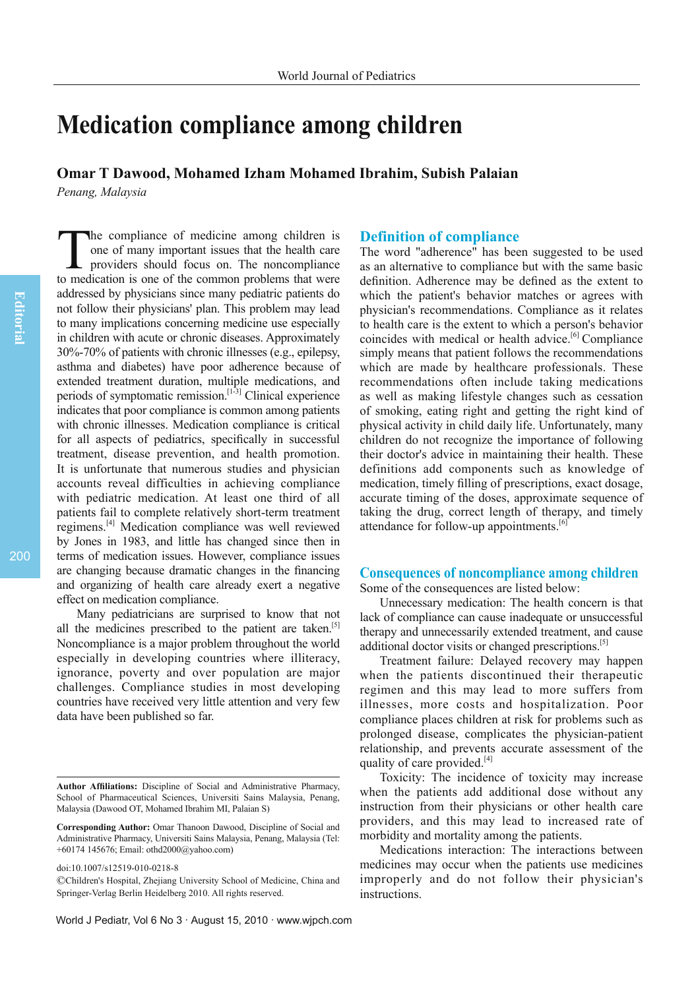# **Medication compliance among children**

**Omar T Dawood, Mohamed Izham Mohamed Ibrahim, Subish Palaian** *Penang, Malaysia*

The compliance of medicine among children is<br>one of many important issues that the health care<br>providers should focus on. The noncompliance<br>to medication is one of the common problems that were he compliance of medicine among children is one of many important issues that the health care providers should focus on. The noncompliance addressed by physicians since many pediatric patients do not follow their physicians' plan. This problem may lead to many implications concerning medicine use especially in children with acute or chronic diseases. Approximately 30%-70% of patients with chronic illnesses (e.g., epilepsy, asthma and diabetes) have poor adherence because of extended treatment duration, multiple medications, and periods of symptomatic remission.[1-3] Clinical experience indicates that poor compliance is common among patients with chronic illnesses. Medication compliance is critical for all aspects of pediatrics, specifically in successful treatment, disease prevention, and health promotion. It is unfortunate that numerous studies and physician accounts reveal difficulties in achieving compliance with pediatric medication. At least one third of all patients fail to complete relatively short-term treatment regimens.[4] Medication compliance was well reviewed by Jones in 1983, and little has changed since then in terms of medication issues. However, compliance issues are changing because dramatic changes in the financing and organizing of health care already exert a negative effect on medication compliance.

Many pediatricians are surprised to know that not all the medicines prescribed to the patient are taken.<sup>[5]</sup> Noncompliance is a major problem throughout the world especially in developing countries where illiteracy, ignorance, poverty and over population are major challenges. Compliance studies in most developing countries have received very little attention and very few data have been published so far.

#### World J Pediatr, Vol 6 No 3 · August 15, 2010 · www.wjpch.com

#### **Definition of compliance**

The word "adherence" has been suggested to be used as an alternative to compliance but with the same basic definition. Adherence may be defined as the extent to which the patient's behavior matches or agrees with physician's recommendations. Compliance as it relates to health care is the extent to which a person's behavior coincides with medical or health advice.<sup>[6]</sup> Compliance simply means that patient follows the recommendations which are made by healthcare professionals. These recommendations often include taking medications as well as making lifestyle changes such as cessation of smoking, eating right and getting the right kind of physical activity in child daily life. Unfortunately, many children do not recognize the importance of following their doctor's advice in maintaining their health. These definitions add components such as knowledge of medication, timely filling of prescriptions, exact dosage, accurate timing of the doses, approximate sequence of taking the drug, correct length of therapy, and timely attendance for follow-up appointments.<sup>[6]</sup>

# **Consequences of noncompliance among children**

Some of the consequences are listed below:

Unnecessary medication: The health concern is that lack of compliance can cause inadequate or unsuccessful therapy and unnecessarily extended treatment, and cause additional doctor visits or changed prescriptions.<sup>[5]</sup>

Treatment failure: Delayed recovery may happen when the patients discontinued their therapeutic regimen and this may lead to more suffers from illnesses, more costs and hospitalization. Poor compliance places children at risk for problems such as prolonged disease, complicates the physician-patient relationship, and prevents accurate assessment of the quality of care provided. $[4]$ 

Toxicity: The incidence of toxicity may increase when the patients add additional dose without any instruction from their physicians or other health care providers, and this may lead to increased rate of morbidity and mortality among the patients.

Medications interaction: The interactions between medicines may occur when the patients use medicines improperly and do not follow their physician's instructions.

**Author Affi liations:** Discipline of Social and Administrative Pharmacy, School of Pharmaceutical Sciences, Universiti Sains Malaysia, Penang, Malaysia (Dawood OT, Mohamed Ibrahim MI, Palaian S)

**Corresponding Author:** Omar Thanoon Dawood, Discipline of Social and Administrative Pharmacy, Universiti Sains Malaysia, Penang, Malaysia (Tel: +60174 145676; Email: othd2000@yahoo.com)

doi:10.1007/s12519-010-0218-8

<sup>©</sup>Children's Hospital, Zhejiang University School of Medicine, China and Springer-Verlag Berlin Heidelberg 2010. All rights reserved.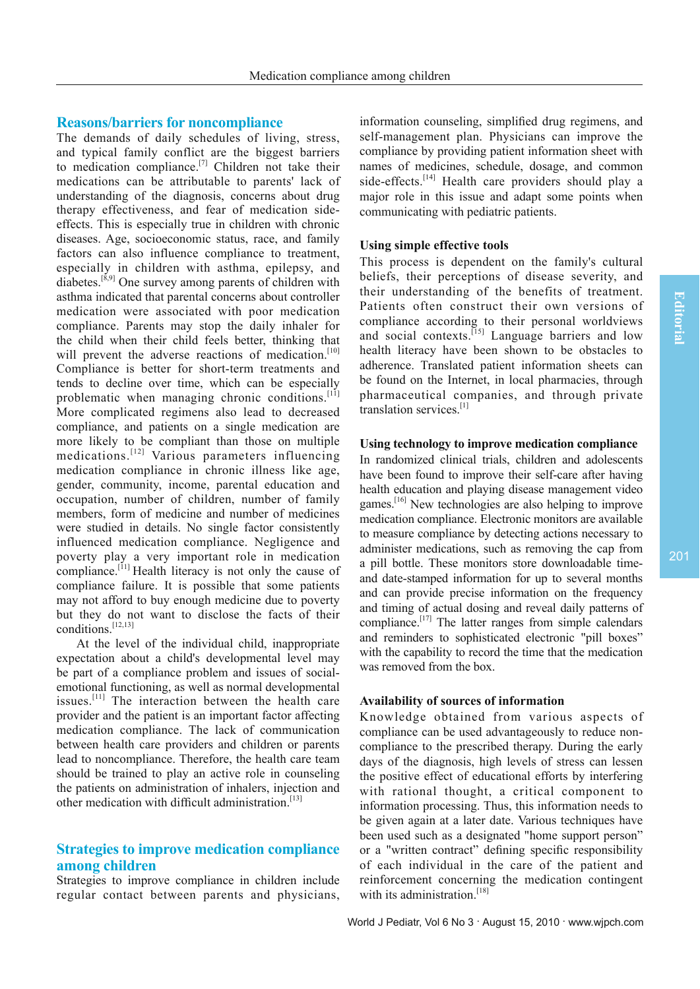# **Reasons/barriers for noncompliance**

The demands of daily schedules of living, stress, and typical family conflict are the biggest barriers to medication compliance.<sup>[7]</sup> Children not take their medications can be attributable to parents' lack of understanding of the diagnosis, concerns about drug therapy effectiveness, and fear of medication sideeffects. This is especially true in children with chronic diseases. Age, socioeconomic status, race, and family factors can also influence compliance to treatment, especially in children with asthma, epilepsy, and diabetes.<sup>[8,9]</sup> One survey among parents of children with asthma indicated that parental concerns about controller medication were associated with poor medication compliance. Parents may stop the daily inhaler for the child when their child feels better, thinking that will prevent the adverse reactions of medication.<sup>[10]</sup> Compliance is better for short-term treatments and tends to decline over time, which can be especially problematic when managing chronic conditions.[11] More complicated regimens also lead to decreased compliance, and patients on a single medication are more likely to be compliant than those on multiple medications.[12] Various parameters influencing medication compliance in chronic illness like age, gender, community, income, parental education and occupation, number of children, number of family members, form of medicine and number of medicines were studied in details. No single factor consistently influenced medication compliance. Negligence and poverty play a very important role in medication compliance.<sup>[11]</sup> Health literacy is not only the cause of compliance failure. It is possible that some patients may not afford to buy enough medicine due to poverty but they do not want to disclose the facts of their conditions.[12,13]

At the level of the individual child, inappropriate expectation about a child's developmental level may be part of a compliance problem and issues of socialemotional functioning, as well as normal developmental issues.[11] The interaction between the health care provider and the patient is an important factor affecting medication compliance. The lack of communication between health care providers and children or parents lead to noncompliance. Therefore, the health care team should be trained to play an active role in counseling the patients on administration of inhalers, injection and other medication with difficult administration<sup> $[13]$ </sup>

# **Strategies to improve medication compliance among children**

Strategies to improve compliance in children include regular contact between parents and physicians, information counseling, simplified drug regimens, and self-management plan. Physicians can improve the compliance by providing patient information sheet with names of medicines, schedule, dosage, and common side-effects.<sup>[14]</sup> Health care providers should play a major role in this issue and adapt some points when communicating with pediatric patients.

#### **Using simple effective tools**

This process is dependent on the family's cultural beliefs, their perceptions of disease severity, and their understanding of the benefits of treatment. Patients often construct their own versions of compliance according to their personal worldviews and social contexts.<sup>[15]</sup> Language barriers and low health literacy have been shown to be obstacles to adherence. Translated patient information sheets can be found on the Internet, in local pharmacies, through pharmaceutical companies, and through private translation services.[1]

#### **Using technology to improve medication compliance**

In randomized clinical trials, children and adolescents have been found to improve their self-care after having health education and playing disease management video games.<sup>[16]</sup> New technologies are also helping to improve medication compliance. Electronic monitors are available to measure compliance by detecting actions necessary to administer medications, such as removing the cap from a pill bottle. These monitors store downloadable timeand date-stamped information for up to several months and can provide precise information on the frequency and timing of actual dosing and reveal daily patterns of compliance.[17] The latter ranges from simple calendars and reminders to sophisticated electronic "pill boxes" with the capability to record the time that the medication was removed from the box.

## **Availability of sources of information**

Knowledge obtained from various aspects of compliance can be used advantageously to reduce noncompliance to the prescribed therapy. During the early days of the diagnosis, high levels of stress can lessen the positive effect of educational efforts by interfering with rational thought, a critical component to information processing. Thus, this information needs to be given again at a later date. Various techniques have been used such as a designated "home support person" or a "written contract" defining specific responsibility of each individual in the care of the patient and reinforcement concerning the medication contingent with its administration.<sup>[18]</sup>